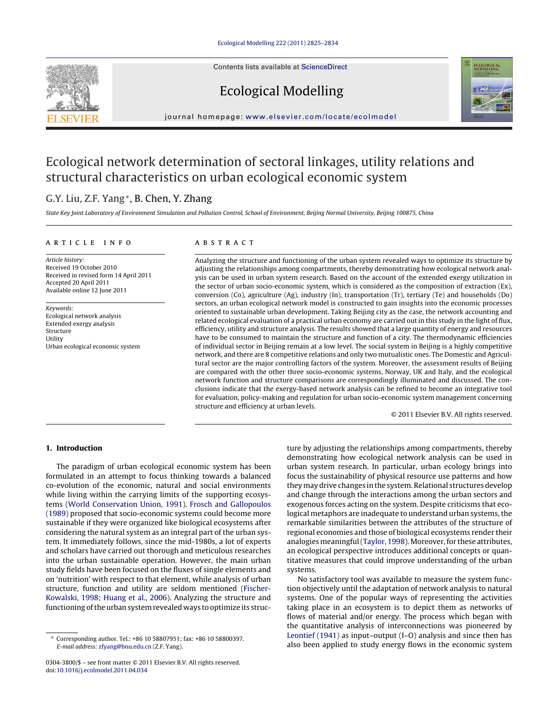Contents lists available at [ScienceDirect](http://www.sciencedirect.com/science/journal/03043800)





## Ecological Modelling

iournal homepage: [www.elsevier.com/locate/ecolmodel](http://www.elsevier.com/locate/ecolmodel)

# Ecological network determination of sectoral linkages, utility relations and structural characteristics on urban ecological economic system

### G.Y. Liu, Z.F. Yang∗, B. Chen, Y. Zhang

State Key Joint Laboratory of Environment Simulation and Pollution Control, School of Environment, Beijing Normal University, Beijing 100875, China

#### ARTICLE INFO

Article history: Received 19 October 2010 Received in revised form 14 April 2011 Accepted 20 April 2011 Available online 12 June 2011

Keywords: Ecological network analysis Extended exergy analysis Structure Utility Urban ecological economic system

#### A B S T R A C T

Analyzing the structure and functioning of the urban system revealed ways to optimize its structure by adjusting the relationships among compartments, thereby demonstrating how ecological network analysis can be used in urban system research. Based on the account of the extended exergy utilization in the sector of urban socio-economic system, which is considered as the composition of extraction (Ex), conversion (Co), agriculture (Ag), industry (In), transportation (Tr), tertiary (Te) and households (Do) sectors, an urban ecological network model is constructed to gain insights into the economic processes oriented to sustainable urban development. Taking Beijing city as the case, the network accounting and related ecological evaluation of a practical urban economy are carried out in this study in the light of flux, efficiency, utility and structure analysis. The results showed that a large quantity of energy and resources have to be consumed to maintain the structure and function of a city. The thermodynamic efficiencies of individual sector in Beijing remain at a low level. The social system in Beijing is a highly competitive network, and there are 8 competitive relations and only two mutualistic ones. The Domestic and Agricultural sector are the major controlling factors of the system. Moreover, the assessment results of Beijing are compared with the other three socio-economic systems, Norway, UK and Italy, and the ecological network function and structure comparisons are correspondingly illuminated and discussed. The conclusions indicate that the exergy-based network analysis can be refined to become an integrative tool for evaluation, policy-making and regulation for urban socio-economic system management concerning structure and efficiency at urban levels.

© 2011 Elsevier B.V. All rights reserved.

#### **1. Introduction**

The paradigm of urban ecological economic system has been formulated in an attempt to focus thinking towards a balanced co-evolution of the economic, natural and social environments while living within the carrying limits of the supporting ecosystems ([World](#page--1-0) [Conservation](#page--1-0) [Union,](#page--1-0) [1991\).](#page--1-0) [Frosch](#page--1-0) [and](#page--1-0) [Gallopoulos](#page--1-0) [\(1989\)](#page--1-0) proposed that socio-economic systems could become more sustainable if they were organized like biological ecosystems after considering the natural system as an integral part of the urban system. It immediately follows, since the mid-1980s, a lot of experts and scholars have carried out thorough and meticulous researches into the urban sustainable operation. However, the main urban study fields have been focused on the fluxes of single elements and on 'nutrition' with respect to that element, while analysis of urban structure, function and utility are seldom mentioned ([Fischer-](#page--1-0)Kowalski, [1998;](#page--1-0) [Huang](#page--1-0) et [al.,](#page--1-0) [2006\).](#page--1-0) Analyzing the structure and functioning of the urban system revealed ways to optimize its structure by adjusting the relationships among compartments, thereby demonstrating how ecological network analysis can be used in urban system research. In particular, urban ecology brings into focus the sustainability of physical resource use patterns and how theymay drive changes inthe system.Relational structures develop and change through the interactions among the urban sectors and exogenous forces acting on the system. Despite criticisms that ecological metaphors are inadequate to understand urban systems, the remarkable similarities between the attributes of the structure of regional economies and those of biological ecosystems render their analogies meaningful [\(Taylor,](#page--1-0) [1998\).](#page--1-0) Moreover, for these attributes, an ecological perspective introduces additional concepts or quantitative measures that could improve understanding of the urban systems.

No satisfactory tool was available to measure the system function objectively until the adaptation of network analysis to natural systems. One of the popular ways of representing the activities taking place in an ecosystem is to depict them as networks of flows of material and/or energy. The process which began with the quantitative analysis of interconnections was pioneered by [Leontief](#page--1-0) [\(1941\)](#page--1-0) as input–output (I–O) analysis and since then has also been applied to study energy flows in the economic system

<sup>∗</sup> Corresponding author. Tel.: +86 10 58807951; fax: +86 10 58800397. E-mail address: [zfyang@bnu.edu.cn](mailto:zfyang@bnu.edu.cn) (Z.F. Yang).

<sup>0304-3800/\$</sup> – see front matter © 2011 Elsevier B.V. All rights reserved. doi:[10.1016/j.ecolmodel.2011.04.034](dx.doi.org/10.1016/j.ecolmodel.2011.04.034)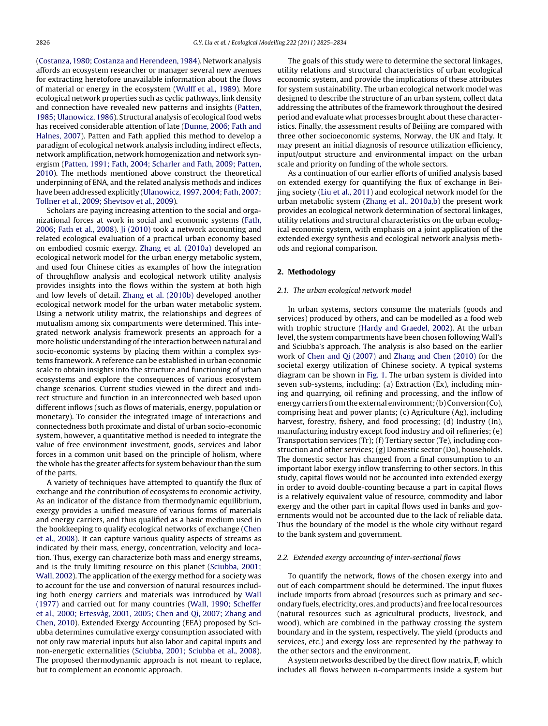([Costanza,](#page--1-0) [1980;](#page--1-0) [Costanza](#page--1-0) [and](#page--1-0) [Herendeen,](#page--1-0) [1984\).](#page--1-0) Network analysis affords an ecosystem researcher or manager several new avenues for extracting heretofore unavailable information about the flows of material or energy in the ecosystem [\(Wulff](#page--1-0) et [al.,](#page--1-0) [1989\).](#page--1-0) More ecological network properties such as cyclic pathways, link density and connection have revealed new patterns and insights ([Patten,](#page--1-0) [1985;](#page--1-0) [Ulanowicz,](#page--1-0) [1986\).](#page--1-0) Structural analysis of ecological food webs has received considerable attention of late [\(Dunne,](#page--1-0) [2006;](#page--1-0) [Fath](#page--1-0) [and](#page--1-0) [Halnes,](#page--1-0) [2007\).](#page--1-0) Patten and Fath applied this method to develop a paradigm of ecological network analysis including indirect effects, network amplification, network homogenization and network synergism [\(Patten,](#page--1-0) [1991;](#page--1-0) [Fath,](#page--1-0) [2004;](#page--1-0) [Scharler](#page--1-0) [and](#page--1-0) [Fath,](#page--1-0) [2009;](#page--1-0) [Patten,](#page--1-0) [2010\).](#page--1-0) The methods mentioned above construct the theoretical underpinning of ENA, and the related analysis methods and indices have been addressed explicitly ([Ulanowicz,](#page--1-0) [1997,](#page--1-0) [2004;](#page--1-0) [Fath,](#page--1-0) [2007;](#page--1-0) [Tollner](#page--1-0) et [al.,](#page--1-0) [2009;](#page--1-0) [Shevtsov](#page--1-0) et [al.,](#page--1-0) [2009\).](#page--1-0)

Scholars are paying increasing attention to the social and organizational forces at work in social and economic systems ([Fath,](#page--1-0) [2006;](#page--1-0) [Fath](#page--1-0) et [al.,](#page--1-0) [2008\).](#page--1-0) [Ji](#page--1-0) [\(2010\)](#page--1-0) took a network accounting and related ecological evaluation of a practical urban economy based on embodied cosmic exergy. [Zhang](#page--1-0) et [al.](#page--1-0) [\(2010a\)](#page--1-0) developed an ecological network model for the urban energy metabolic system, and used four Chinese cities as examples of how the integration of throughflow analysis and ecological network utility analysis provides insights into the flows within the system at both high and low levels of detail. [Zhang](#page--1-0) et [al.](#page--1-0) [\(2010b\)](#page--1-0) developed another ecological network model for the urban water metabolic system. Using a network utility matrix, the relationships and degrees of mutualism among six compartments were determined. This integrated network analysis framework presents an approach for a more holistic understanding of the interaction between natural and socio-economic systems by placing them within a complex systems framework. A reference can be established in urban economic scale to obtain insights into the structure and functioning of urban ecosystems and explore the consequences of various ecosystem change scenarios. Current studies viewed in the direct and indirect structure and function in an interconnected web based upon different inflows (such as flows of materials, energy, population or monetary). To consider the integrated image of interactions and connectedness both proximate and distal of urban socio-economic system, however, a quantitative method is needed to integrate the value of free environment investment, goods, services and labor forces in a common unit based on the principle of holism, where the whole has the greater affects for system behaviour than the sum of the parts.

A variety of techniques have attempted to quantify the flux of exchange and the contribution of ecosystems to economic activity. As an indicator of the distance from thermodynamic equilibrium, exergy provides a unified measure of various forms of materials and energy carriers, and thus qualified as a basic medium used in the bookkeeping to qualify ecological networks of exchange [\(Chen](#page--1-0) et [al.,](#page--1-0) [2008\).](#page--1-0) It can capture various quality aspects of streams as indicated by their mass, energy, concentration, velocity and location. Thus, exergy can characterize both mass and energy streams, and is the truly limiting resource on this planet ([Sciubba,](#page--1-0) [2001;](#page--1-0) [Wall,](#page--1-0) [2002\).](#page--1-0) The application of the exergy method for a society was to account for the use and conversion of natural resources including both energy carriers and materials was introduced by [Wall](#page--1-0) [\(1977\)](#page--1-0) and carried out for many countries [\(Wall,](#page--1-0) [1990;](#page--1-0) [Scheffer](#page--1-0) et [al.,](#page--1-0) [2000;](#page--1-0) [Ertesvåg,](#page--1-0) [2001,](#page--1-0) [2005;](#page--1-0) [Chen](#page--1-0) [and](#page--1-0) [Qi,](#page--1-0) [2007;](#page--1-0) [Zhang](#page--1-0) [and](#page--1-0) [Chen,](#page--1-0) [2010\).](#page--1-0) Extended Exergy Accounting (EEA) proposed by Sciubba determines cumulative exergy consumption associated with not only raw material inputs but also labor and capital inputs and non-energetic externalities ([Sciubba,](#page--1-0) [2001;](#page--1-0) [Sciubba](#page--1-0) et [al.,](#page--1-0) [2008\).](#page--1-0) The proposed thermodynamic approach is not meant to replace, but to complement an economic approach.

The goals of this study were to determine the sectoral linkages, utility relations and structural characteristics of urban ecological economic system, and provide the implications of these attributes for system sustainability. The urban ecological network model was designed to describe the structure of an urban system, collect data addressing the attributes of the framework throughout the desired period and evaluate what processes brought about these characteristics. Finally, the assessment results of Beijing are compared with three other socioeconomic systems, Norway, the UK and Italy. It may present an initial diagnosis of resource utilization efficiency, input/output structure and environmental impact on the urban scale and priority on funding of the whole sectors.

As a continuation of our earlier efforts of unified analysis based on extended exergy for quantifying the flux of exchange in Beijing society [\(Liu](#page--1-0) et [al.,](#page--1-0) [2011\)](#page--1-0) and ecological network model for the urban metabolic system [\(Zhang](#page--1-0) et [al.,](#page--1-0) [2010a,b\)](#page--1-0) the present work provides an ecological network determination of sectoral linkages, utility relations and structural characteristics on the urban ecological economic system, with emphasis on a joint application of the extended exergy synthesis and ecological network analysis methods and regional comparison.

#### **2. Methodology**

#### 2.1. The urban ecological network model

In urban systems, sectors consume the materials (goods and services) produced by others, and can be modelled as a food web with trophic structure [\(Hardy](#page--1-0) [and](#page--1-0) [Graedel,](#page--1-0) [2002\).](#page--1-0) At the urban level, the system compartments have been chosen following Wall's and Sciubba's approach. The analysis is also based on the earlier work of [Chen](#page--1-0) [and](#page--1-0) [Qi](#page--1-0) [\(2007\)](#page--1-0) and [Zhang](#page--1-0) [and](#page--1-0) [Chen](#page--1-0) [\(2010\)](#page--1-0) for the societal exergy utilization of Chinese society. A typical systems diagram can be shown in [Fig.](#page--1-0) 1. The urban system is divided into seven sub-systems, including: (a) Extraction (Ex), including mining and quarrying, oil refining and processing, and the inflow of energy carriers from the external environment; (b) Conversion  $(Co)$ , comprising heat and power plants; (c) Agriculture (Ag), including harvest, forestry, fishery, and food processing; (d) Industry (In), manufacturing industry except food industry and oil refineries; (e) Transportation services (Tr); (f) Tertiary sector (Te), including construction and other services; (g) Domestic sector (Do), households. The domestic sector has changed from a final consumption to an important labor exergy inflow transferring to other sectors. In this study, capital flows would not be accounted into extended exergy in order to avoid double-counting because a part in capital flows is a relatively equivalent value of resource, commodity and labor exergy and the other part in capital flows used in banks and governments would not be accounted due to the lack of reliable data. Thus the boundary of the model is the whole city without regard to the bank system and government.

#### 2.2. Extended exergy accounting of inter-sectional flows

To quantify the network, flows of the chosen exergy into and out of each compartment should be determined. The input fluxes include imports from abroad (resources such as primary and secondary fuels, electricity, ores, and products) and free local resources (natural resources such as agricultural products, livestock, and wood), which are combined in the pathway crossing the system boundary and in the system, respectively. The yield (products and services, etc.) and exergy loss are represented by the pathway to the other sectors and the environment.

A system networks described by the direct flow matrix, **F**, which includes all flows between n-compartments inside a system but